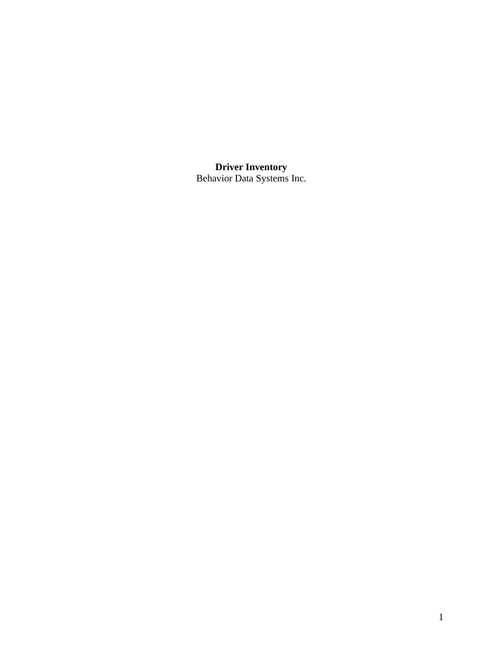**Driver Inventory** Behavior Data Systems Inc.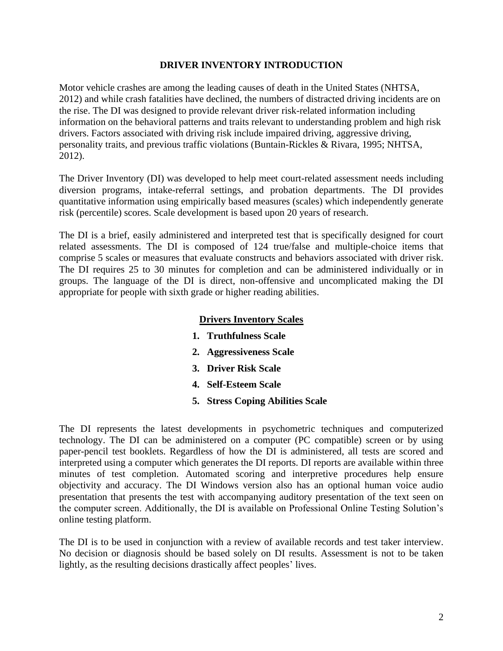# **DRIVER INVENTORY INTRODUCTION**

Motor vehicle crashes are among the leading causes of death in the United States (NHTSA, 2012) and while crash fatalities have declined, the numbers of distracted driving incidents are on the rise. The DI was designed to provide relevant driver risk-related information including information on the behavioral patterns and traits relevant to understanding problem and high risk drivers. Factors associated with driving risk include impaired driving, aggressive driving, personality traits, and previous traffic violations (Buntain-Rickles & Rivara, 1995; NHTSA, 2012).

The Driver Inventory (DI) was developed to help meet court-related assessment needs including diversion programs, intake-referral settings, and probation departments. The DI provides quantitative information using empirically based measures (scales) which independently generate risk (percentile) scores. Scale development is based upon 20 years of research.

The DI is a brief, easily administered and interpreted test that is specifically designed for court related assessments. The DI is composed of 124 true/false and multiple-choice items that comprise 5 scales or measures that evaluate constructs and behaviors associated with driver risk. The DI requires 25 to 30 minutes for completion and can be administered individually or in groups. The language of the DI is direct, non-offensive and uncomplicated making the DI appropriate for people with sixth grade or higher reading abilities.

# **Drivers Inventory Scales**

- **1. Truthfulness Scale**
- **2. Aggressiveness Scale**
- **3. Driver Risk Scale**
- **4. Self-Esteem Scale**
- **5. Stress Coping Abilities Scale**

The DI represents the latest developments in psychometric techniques and computerized technology. The DI can be administered on a computer (PC compatible) screen or by using paper-pencil test booklets. Regardless of how the DI is administered, all tests are scored and interpreted using a computer which generates the DI reports. DI reports are available within three minutes of test completion. Automated scoring and interpretive procedures help ensure objectivity and accuracy. The DI Windows version also has an optional human voice audio presentation that presents the test with accompanying auditory presentation of the text seen on the computer screen. Additionally, the DI is available on Professional Online Testing Solution's online testing platform.

The DI is to be used in conjunction with a review of available records and test taker interview. No decision or diagnosis should be based solely on DI results. Assessment is not to be taken lightly, as the resulting decisions drastically affect peoples' lives.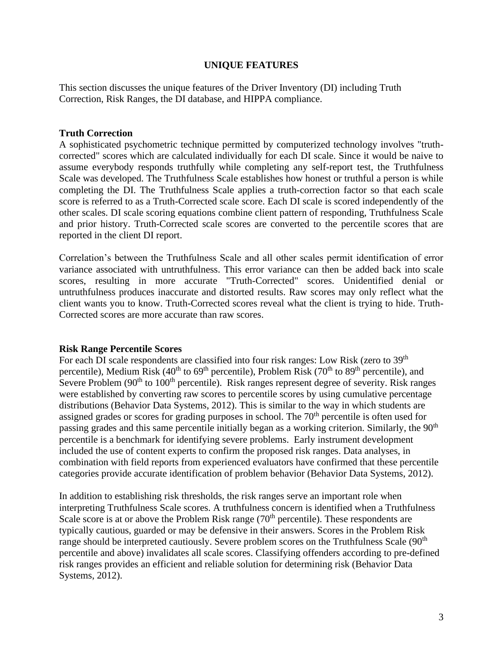## **UNIQUE FEATURES**

This section discusses the unique features of the Driver Inventory (DI) including Truth Correction, Risk Ranges, the DI database, and HIPPA compliance.

#### **Truth Correction**

A sophisticated psychometric technique permitted by computerized technology involves "truthcorrected" scores which are calculated individually for each DI scale. Since it would be naive to assume everybody responds truthfully while completing any self-report test, the Truthfulness Scale was developed. The Truthfulness Scale establishes how honest or truthful a person is while completing the DI. The Truthfulness Scale applies a truth-correction factor so that each scale score is referred to as a Truth-Corrected scale score. Each DI scale is scored independently of the other scales. DI scale scoring equations combine client pattern of responding, Truthfulness Scale and prior history. Truth-Corrected scale scores are converted to the percentile scores that are reported in the client DI report.

Correlation's between the Truthfulness Scale and all other scales permit identification of error variance associated with untruthfulness. This error variance can then be added back into scale scores, resulting in more accurate "Truth-Corrected" scores. Unidentified denial or untruthfulness produces inaccurate and distorted results. Raw scores may only reflect what the client wants you to know. Truth-Corrected scores reveal what the client is trying to hide. Truth-Corrected scores are more accurate than raw scores.

#### **Risk Range Percentile Scores**

For each DI scale respondents are classified into four risk ranges: Low Risk (zero to 39<sup>th</sup>) percentile), Medium Risk  $(40^{th}$  to  $69^{th}$  percentile), Problem Risk  $(70^{th}$  to  $89^{th}$  percentile), and Severe Problem (90<sup>th</sup> to 100<sup>th</sup> percentile). Risk ranges represent degree of severity. Risk ranges were established by converting raw scores to percentile scores by using cumulative percentage distributions (Behavior Data Systems, 2012). This is similar to the way in which students are assigned grades or scores for grading purposes in school. The 70<sup>th</sup> percentile is often used for passing grades and this same percentile initially began as a working criterion. Similarly, the 90<sup>th</sup> percentile is a benchmark for identifying severe problems. Early instrument development included the use of content experts to confirm the proposed risk ranges. Data analyses, in combination with field reports from experienced evaluators have confirmed that these percentile categories provide accurate identification of problem behavior (Behavior Data Systems, 2012).

In addition to establishing risk thresholds, the risk ranges serve an important role when interpreting Truthfulness Scale scores. A truthfulness concern is identified when a Truthfulness Scale score is at or above the Problem Risk range  $(70<sup>th</sup>$  percentile). These respondents are typically cautious, guarded or may be defensive in their answers. Scores in the Problem Risk range should be interpreted cautiously. Severe problem scores on the Truthfulness Scale (90<sup>th</sup>) percentile and above) invalidates all scale scores. Classifying offenders according to pre-defined risk ranges provides an efficient and reliable solution for determining risk (Behavior Data Systems, 2012).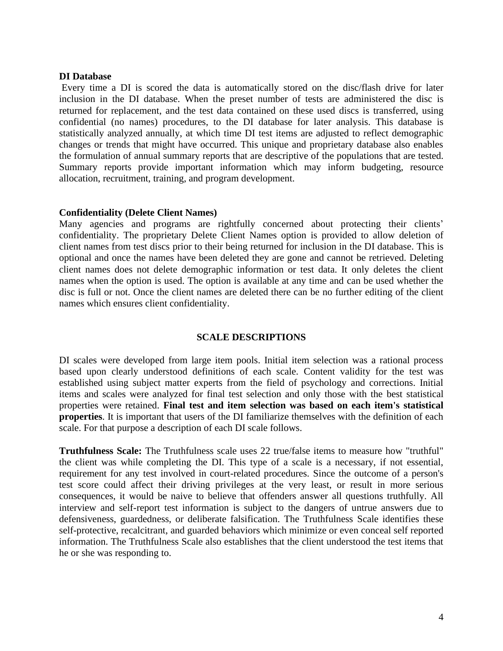#### **DI Database**

Every time a DI is scored the data is automatically stored on the disc/flash drive for later inclusion in the DI database. When the preset number of tests are administered the disc is returned for replacement, and the test data contained on these used discs is transferred, using confidential (no names) procedures, to the DI database for later analysis. This database is statistically analyzed annually, at which time DI test items are adjusted to reflect demographic changes or trends that might have occurred. This unique and proprietary database also enables the formulation of annual summary reports that are descriptive of the populations that are tested. Summary reports provide important information which may inform budgeting, resource allocation, recruitment, training, and program development.

#### **Confidentiality (Delete Client Names)**

Many agencies and programs are rightfully concerned about protecting their clients' confidentiality. The proprietary Delete Client Names option is provided to allow deletion of client names from test discs prior to their being returned for inclusion in the DI database. This is optional and once the names have been deleted they are gone and cannot be retrieved. Deleting client names does not delete demographic information or test data. It only deletes the client names when the option is used. The option is available at any time and can be used whether the disc is full or not. Once the client names are deleted there can be no further editing of the client names which ensures client confidentiality.

## **SCALE DESCRIPTIONS**

DI scales were developed from large item pools. Initial item selection was a rational process based upon clearly understood definitions of each scale. Content validity for the test was established using subject matter experts from the field of psychology and corrections. Initial items and scales were analyzed for final test selection and only those with the best statistical properties were retained. **Final test and item selection was based on each item's statistical properties**. It is important that users of the DI familiarize themselves with the definition of each scale. For that purpose a description of each DI scale follows.

**Truthfulness Scale:** The Truthfulness scale uses 22 true/false items to measure how "truthful" the client was while completing the DI. This type of a scale is a necessary, if not essential, requirement for any test involved in court-related procedures. Since the outcome of a person's test score could affect their driving privileges at the very least, or result in more serious consequences, it would be naive to believe that offenders answer all questions truthfully. All interview and self-report test information is subject to the dangers of untrue answers due to defensiveness, guardedness, or deliberate falsification. The Truthfulness Scale identifies these self-protective, recalcitrant, and guarded behaviors which minimize or even conceal self reported information. The Truthfulness Scale also establishes that the client understood the test items that he or she was responding to.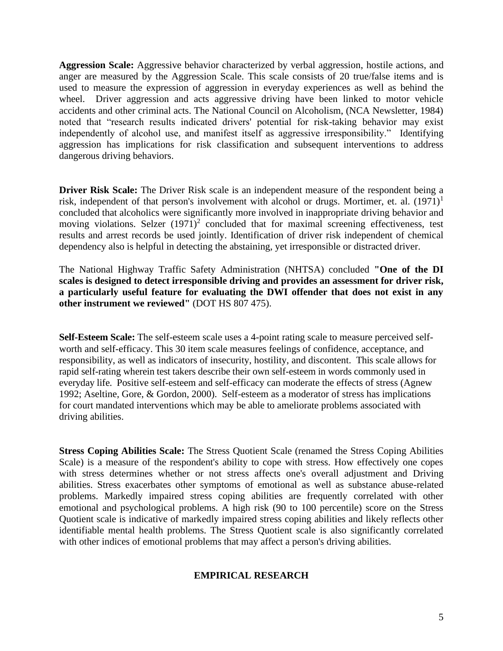**Aggression Scale:** Aggressive behavior characterized by verbal aggression, hostile actions, and anger are measured by the Aggression Scale. This scale consists of 20 true/false items and is used to measure the expression of aggression in everyday experiences as well as behind the wheel. Driver aggression and acts aggressive driving have been linked to motor vehicle accidents and other criminal acts. The National Council on Alcoholism, (NCA Newsletter, 1984) noted that "research results indicated drivers' potential for risk-taking behavior may exist independently of alcohol use, and manifest itself as aggressive irresponsibility." Identifying aggression has implications for risk classification and subsequent interventions to address dangerous driving behaviors.

**Driver Risk Scale:** The Driver Risk scale is an independent measure of the respondent being a risk, independent of that person's involvement with alcohol or drugs. Mortimer, et. al.  $(1971)^1$ concluded that alcoholics were significantly more involved in inappropriate driving behavior and moving violations. Selzer  $(1971)^2$  concluded that for maximal screening effectiveness, test results and arrest records be used jointly. Identification of driver risk independent of chemical dependency also is helpful in detecting the abstaining, yet irresponsible or distracted driver.

The National Highway Traffic Safety Administration (NHTSA) concluded **"One of the DI scales is designed to detect irresponsible driving and provides an assessment for driver risk, a particularly useful feature for evaluating the DWI offender that does not exist in any other instrument we reviewed"** (DOT HS 807 475).

**Self-Esteem Scale:** The self-esteem scale uses a 4-point rating scale to measure perceived selfworth and self-efficacy. This 30 item scale measures feelings of confidence, acceptance, and responsibility, as well as indicators of insecurity, hostility, and discontent. This scale allows for rapid self-rating wherein test takers describe their own self-esteem in words commonly used in everyday life. Positive self-esteem and self-efficacy can moderate the effects of stress (Agnew 1992; Aseltine, Gore, & Gordon, 2000). Self-esteem as a moderator of stress has implications for court mandated interventions which may be able to ameliorate problems associated with driving abilities.

**Stress Coping Abilities Scale:** The Stress Quotient Scale (renamed the Stress Coping Abilities Scale) is a measure of the respondent's ability to cope with stress. How effectively one copes with stress determines whether or not stress affects one's overall adjustment and Driving abilities. Stress exacerbates other symptoms of emotional as well as substance abuse-related problems. Markedly impaired stress coping abilities are frequently correlated with other emotional and psychological problems. A high risk (90 to 100 percentile) score on the Stress Quotient scale is indicative of markedly impaired stress coping abilities and likely reflects other identifiable mental health problems. The Stress Quotient scale is also significantly correlated with other indices of emotional problems that may affect a person's driving abilities.

## **EMPIRICAL RESEARCH**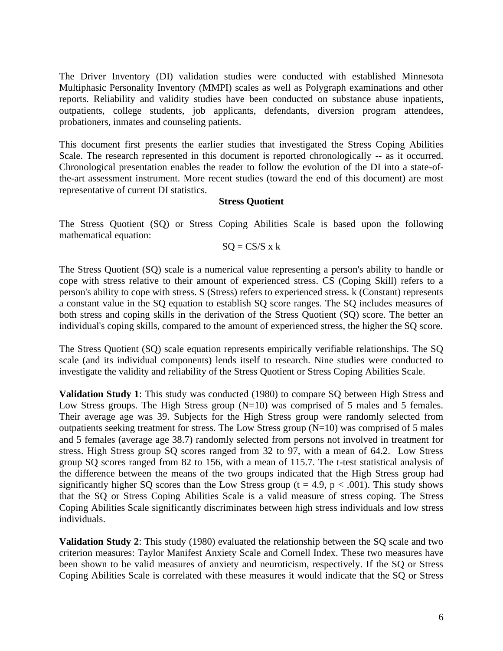The Driver Inventory (DI) validation studies were conducted with established Minnesota Multiphasic Personality Inventory (MMPI) scales as well as Polygraph examinations and other reports. Reliability and validity studies have been conducted on substance abuse inpatients, outpatients, college students, job applicants, defendants, diversion program attendees, probationers, inmates and counseling patients.

This document first presents the earlier studies that investigated the Stress Coping Abilities Scale. The research represented in this document is reported chronologically -- as it occurred. Chronological presentation enables the reader to follow the evolution of the DI into a state-ofthe-art assessment instrument. More recent studies (toward the end of this document) are most representative of current DI statistics.

## **Stress Quotient**

The Stress Quotient (SQ) or Stress Coping Abilities Scale is based upon the following mathematical equation:

$$
SQ = CS/S \times k
$$

The Stress Quotient (SQ) scale is a numerical value representing a person's ability to handle or cope with stress relative to their amount of experienced stress. CS (Coping Skill) refers to a person's ability to cope with stress. S (Stress) refers to experienced stress. k (Constant) represents a constant value in the SQ equation to establish SQ score ranges. The SQ includes measures of both stress and coping skills in the derivation of the Stress Quotient (SQ) score. The better an individual's coping skills, compared to the amount of experienced stress, the higher the SQ score.

The Stress Quotient (SQ) scale equation represents empirically verifiable relationships. The SQ scale (and its individual components) lends itself to research. Nine studies were conducted to investigate the validity and reliability of the Stress Quotient or Stress Coping Abilities Scale.

**Validation Study 1**: This study was conducted (1980) to compare SQ between High Stress and Low Stress groups. The High Stress group  $(N=10)$  was comprised of 5 males and 5 females. Their average age was 39. Subjects for the High Stress group were randomly selected from outpatients seeking treatment for stress. The Low Stress group (N=10) was comprised of 5 males and 5 females (average age 38.7) randomly selected from persons not involved in treatment for stress. High Stress group SQ scores ranged from 32 to 97, with a mean of 64.2. Low Stress group SQ scores ranged from 82 to 156, with a mean of 115.7. The t-test statistical analysis of the difference between the means of the two groups indicated that the High Stress group had significantly higher SQ scores than the Low Stress group ( $t = 4.9$ ,  $p < .001$ ). This study shows that the SQ or Stress Coping Abilities Scale is a valid measure of stress coping. The Stress Coping Abilities Scale significantly discriminates between high stress individuals and low stress individuals.

**Validation Study 2**: This study (1980) evaluated the relationship between the SQ scale and two criterion measures: Taylor Manifest Anxiety Scale and Cornell Index. These two measures have been shown to be valid measures of anxiety and neuroticism, respectively. If the SQ or Stress Coping Abilities Scale is correlated with these measures it would indicate that the SQ or Stress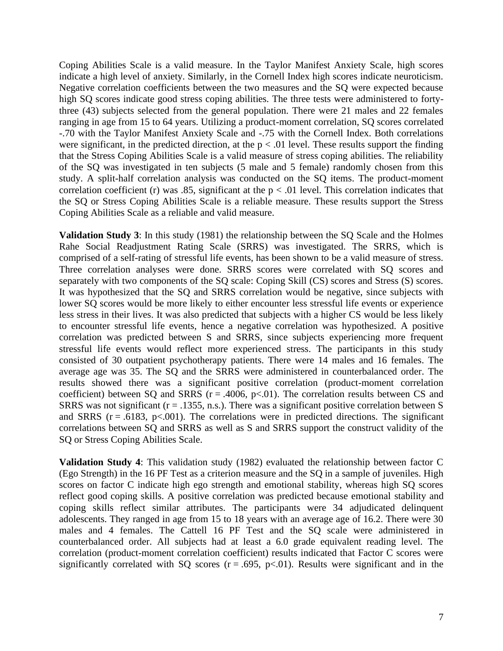Coping Abilities Scale is a valid measure. In the Taylor Manifest Anxiety Scale, high scores indicate a high level of anxiety. Similarly, in the Cornell Index high scores indicate neuroticism. Negative correlation coefficients between the two measures and the SQ were expected because high SQ scores indicate good stress coping abilities. The three tests were administered to fortythree (43) subjects selected from the general population. There were 21 males and 22 females ranging in age from 15 to 64 years. Utilizing a product-moment correlation, SQ scores correlated -.70 with the Taylor Manifest Anxiety Scale and -.75 with the Cornell Index. Both correlations were significant, in the predicted direction, at the  $p < .01$  level. These results support the finding that the Stress Coping Abilities Scale is a valid measure of stress coping abilities. The reliability of the SQ was investigated in ten subjects (5 male and 5 female) randomly chosen from this study. A split-half correlation analysis was conducted on the SQ items. The product-moment correlation coefficient (r) was .85, significant at the  $p < .01$  level. This correlation indicates that the SQ or Stress Coping Abilities Scale is a reliable measure. These results support the Stress Coping Abilities Scale as a reliable and valid measure.

**Validation Study 3**: In this study (1981) the relationship between the SQ Scale and the Holmes Rahe Social Readjustment Rating Scale (SRRS) was investigated. The SRRS, which is comprised of a self-rating of stressful life events, has been shown to be a valid measure of stress. Three correlation analyses were done. SRRS scores were correlated with SQ scores and separately with two components of the SQ scale: Coping Skill (CS) scores and Stress (S) scores. It was hypothesized that the SQ and SRRS correlation would be negative, since subjects with lower SQ scores would be more likely to either encounter less stressful life events or experience less stress in their lives. It was also predicted that subjects with a higher CS would be less likely to encounter stressful life events, hence a negative correlation was hypothesized. A positive correlation was predicted between S and SRRS, since subjects experiencing more frequent stressful life events would reflect more experienced stress. The participants in this study consisted of 30 outpatient psychotherapy patients. There were 14 males and 16 females. The average age was 35. The SQ and the SRRS were administered in counterbalanced order. The results showed there was a significant positive correlation (product-moment correlation coefficient) between SQ and SRRS ( $r = .4006$ ,  $p < .01$ ). The correlation results between CS and SRRS was not significant ( $r = .1355$ , n.s.). There was a significant positive correlation between S and SRRS ( $r = .6183$ ,  $p < .001$ ). The correlations were in predicted directions. The significant correlations between SQ and SRRS as well as S and SRRS support the construct validity of the SQ or Stress Coping Abilities Scale.

**Validation Study 4**: This validation study (1982) evaluated the relationship between factor C (Ego Strength) in the 16 PF Test as a criterion measure and the SQ in a sample of juveniles. High scores on factor C indicate high ego strength and emotional stability, whereas high SQ scores reflect good coping skills. A positive correlation was predicted because emotional stability and coping skills reflect similar attributes. The participants were 34 adjudicated delinquent adolescents. They ranged in age from 15 to 18 years with an average age of 16.2. There were 30 males and 4 females. The Cattell 16 PF Test and the SQ scale were administered in counterbalanced order. All subjects had at least a 6.0 grade equivalent reading level. The correlation (product-moment correlation coefficient) results indicated that Factor C scores were significantly correlated with SQ scores  $(r = .695, p < .01)$ . Results were significant and in the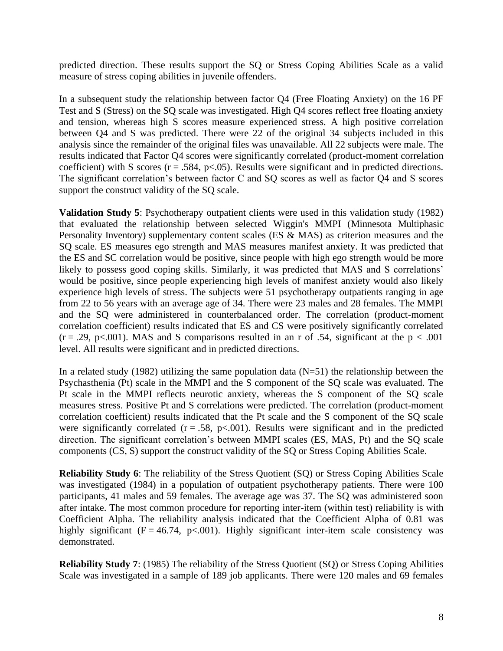predicted direction. These results support the SQ or Stress Coping Abilities Scale as a valid measure of stress coping abilities in juvenile offenders.

In a subsequent study the relationship between factor Q4 (Free Floating Anxiety) on the 16 PF Test and S (Stress) on the SQ scale was investigated. High Q4 scores reflect free floating anxiety and tension, whereas high S scores measure experienced stress. A high positive correlation between Q4 and S was predicted. There were 22 of the original 34 subjects included in this analysis since the remainder of the original files was unavailable. All 22 subjects were male. The results indicated that Factor Q4 scores were significantly correlated (product-moment correlation coefficient) with S scores ( $r = .584$ ,  $p < .05$ ). Results were significant and in predicted directions. The significant correlation's between factor C and SQ scores as well as factor Q4 and S scores support the construct validity of the SQ scale.

**Validation Study 5**: Psychotherapy outpatient clients were used in this validation study (1982) that evaluated the relationship between selected Wiggin's MMPI (Minnesota Multiphasic Personality Inventory) supplementary content scales (ES & MAS) as criterion measures and the SQ scale. ES measures ego strength and MAS measures manifest anxiety. It was predicted that the ES and SC correlation would be positive, since people with high ego strength would be more likely to possess good coping skills. Similarly, it was predicted that MAS and S correlations' would be positive, since people experiencing high levels of manifest anxiety would also likely experience high levels of stress. The subjects were 51 psychotherapy outpatients ranging in age from 22 to 56 years with an average age of 34. There were 23 males and 28 females. The MMPI and the SQ were administered in counterbalanced order. The correlation (product-moment correlation coefficient) results indicated that ES and CS were positively significantly correlated  $(r = .29, p < .001)$ . MAS and S comparisons resulted in an r of .54, significant at the  $p < .001$ level. All results were significant and in predicted directions.

In a related study (1982) utilizing the same population data  $(N=51)$  the relationship between the Psychasthenia (Pt) scale in the MMPI and the S component of the SQ scale was evaluated. The Pt scale in the MMPI reflects neurotic anxiety, whereas the S component of the SQ scale measures stress. Positive Pt and S correlations were predicted. The correlation (product-moment correlation coefficient) results indicated that the Pt scale and the S component of the SQ scale were significantly correlated  $(r = .58, p < .001)$ . Results were significant and in the predicted direction. The significant correlation's between MMPI scales (ES, MAS, Pt) and the SQ scale components (CS, S) support the construct validity of the SQ or Stress Coping Abilities Scale.

**Reliability Study 6**: The reliability of the Stress Quotient (SQ) or Stress Coping Abilities Scale was investigated (1984) in a population of outpatient psychotherapy patients. There were 100 participants, 41 males and 59 females. The average age was 37. The SQ was administered soon after intake. The most common procedure for reporting inter-item (within test) reliability is with Coefficient Alpha. The reliability analysis indicated that the Coefficient Alpha of 0.81 was highly significant  $(F = 46.74, p < .001)$ . Highly significant inter-item scale consistency was demonstrated.

**Reliability Study 7**: (1985) The reliability of the Stress Quotient (SQ) or Stress Coping Abilities Scale was investigated in a sample of 189 job applicants. There were 120 males and 69 females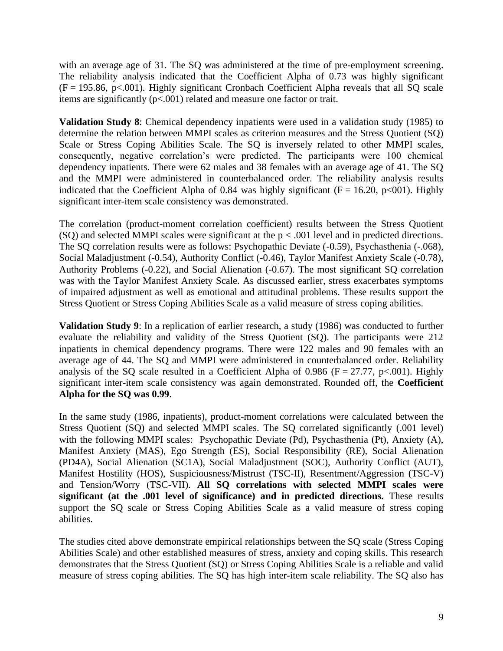with an average age of 31. The SQ was administered at the time of pre-employment screening. The reliability analysis indicated that the Coefficient Alpha of 0.73 was highly significant  $(F = 195.86, p < .001)$ . Highly significant Cronbach Coefficient Alpha reveals that all SQ scale items are significantly (p<.001) related and measure one factor or trait.

**Validation Study 8**: Chemical dependency inpatients were used in a validation study (1985) to determine the relation between MMPI scales as criterion measures and the Stress Quotient (SQ) Scale or Stress Coping Abilities Scale. The SQ is inversely related to other MMPI scales, consequently, negative correlation's were predicted. The participants were 100 chemical dependency inpatients. There were 62 males and 38 females with an average age of 41. The SQ and the MMPI were administered in counterbalanced order. The reliability analysis results indicated that the Coefficient Alpha of 0.84 was highly significant ( $F = 16.20$ ,  $p < 001$ ). Highly significant inter-item scale consistency was demonstrated.

The correlation (product-moment correlation coefficient) results between the Stress Quotient (SQ) and selected MMPI scales were significant at the  $p < .001$  level and in predicted directions. The SQ correlation results were as follows: Psychopathic Deviate (-0.59), Psychasthenia (-.068), Social Maladjustment (-0.54), Authority Conflict (-0.46), Taylor Manifest Anxiety Scale (-0.78), Authority Problems (-0.22), and Social Alienation (-0.67). The most significant SQ correlation was with the Taylor Manifest Anxiety Scale. As discussed earlier, stress exacerbates symptoms of impaired adjustment as well as emotional and attitudinal problems. These results support the Stress Quotient or Stress Coping Abilities Scale as a valid measure of stress coping abilities.

**Validation Study 9**: In a replication of earlier research, a study (1986) was conducted to further evaluate the reliability and validity of the Stress Quotient (SQ). The participants were 212 inpatients in chemical dependency programs. There were 122 males and 90 females with an average age of 44. The SQ and MMPI were administered in counterbalanced order. Reliability analysis of the SQ scale resulted in a Coefficient Alpha of 0.986 ( $F = 27.77$ ,  $p < .001$ ). Highly significant inter-item scale consistency was again demonstrated. Rounded off, the **Coefficient Alpha for the SQ was 0.99**.

In the same study (1986, inpatients), product-moment correlations were calculated between the Stress Quotient (SQ) and selected MMPI scales. The SQ correlated significantly (.001 level) with the following MMPI scales: Psychopathic Deviate (Pd), Psychasthenia (Pt), Anxiety (A), Manifest Anxiety (MAS), Ego Strength (ES), Social Responsibility (RE), Social Alienation (PD4A), Social Alienation (SC1A), Social Maladjustment (SOC), Authority Conflict (AUT), Manifest Hostility (HOS), Suspiciousness/Mistrust (TSC-II), Resentment/Aggression (TSC-V) and Tension/Worry (TSC-VII). **All SQ correlations with selected MMPI scales were significant (at the .001 level of significance) and in predicted directions.** These results support the SQ scale or Stress Coping Abilities Scale as a valid measure of stress coping abilities.

The studies cited above demonstrate empirical relationships between the SQ scale (Stress Coping Abilities Scale) and other established measures of stress, anxiety and coping skills. This research demonstrates that the Stress Quotient (SQ) or Stress Coping Abilities Scale is a reliable and valid measure of stress coping abilities. The SQ has high inter-item scale reliability. The SQ also has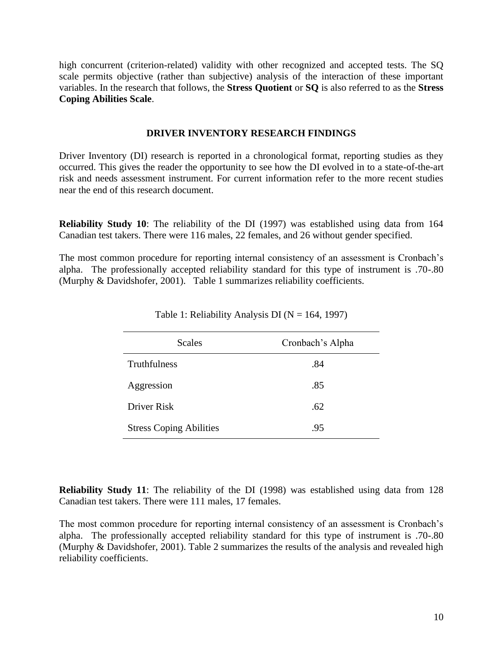high concurrent (criterion-related) validity with other recognized and accepted tests. The SQ scale permits objective (rather than subjective) analysis of the interaction of these important variables. In the research that follows, the **Stress Quotient** or **SQ** is also referred to as the **Stress Coping Abilities Scale**.

### **DRIVER INVENTORY RESEARCH FINDINGS**

Driver Inventory (DI) research is reported in a chronological format, reporting studies as they occurred. This gives the reader the opportunity to see how the DI evolved in to a state-of-the-art risk and needs assessment instrument. For current information refer to the more recent studies near the end of this research document.

**Reliability Study 10**: The reliability of the DI (1997) was established using data from 164 Canadian test takers. There were 116 males, 22 females, and 26 without gender specified.

The most common procedure for reporting internal consistency of an assessment is Cronbach's alpha. The professionally accepted reliability standard for this type of instrument is .70-.80 (Murphy & Davidshofer, 2001). Table 1 summarizes reliability coefficients.

| <b>Scales</b>                  | Cronbach's Alpha |  |  |
|--------------------------------|------------------|--|--|
| Truthfulness                   | .84              |  |  |
| Aggression                     | .85              |  |  |
| Driver Risk                    | .62              |  |  |
| <b>Stress Coping Abilities</b> | .95              |  |  |

Table 1: Reliability Analysis DI ( $N = 164, 1997$ )

**Reliability Study 11**: The reliability of the DI (1998) was established using data from 128 Canadian test takers. There were 111 males, 17 females.

The most common procedure for reporting internal consistency of an assessment is Cronbach's alpha. The professionally accepted reliability standard for this type of instrument is .70-.80 (Murphy & Davidshofer, 2001). Table 2 summarizes the results of the analysis and revealed high reliability coefficients.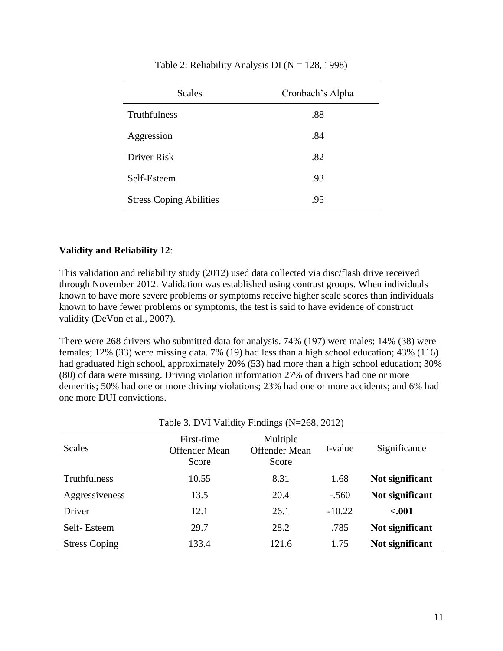| <b>Scales</b>                  | Cronbach's Alpha |
|--------------------------------|------------------|
| <b>Truthfulness</b>            | .88              |
| Aggression                     | .84              |
| Driver Risk                    | .82              |
| Self-Esteem                    | .93              |
| <b>Stress Coping Abilities</b> | .95              |

### Table 2: Reliability Analysis DI ( $N = 128, 1998$ )

# **Validity and Reliability 12**:

This validation and reliability study (2012) used data collected via disc/flash drive received through November 2012. Validation was established using contrast groups. When individuals known to have more severe problems or symptoms receive higher scale scores than individuals known to have fewer problems or symptoms, the test is said to have evidence of construct validity (DeVon et al., 2007).

There were 268 drivers who submitted data for analysis. 74% (197) were males; 14% (38) were females; 12% (33) were missing data. 7% (19) had less than a high school education; 43% (116) had graduated high school, approximately 20% (53) had more than a high school education; 30% (80) of data were missing. Driving violation information 27% of drivers had one or more demeritis; 50% had one or more driving violations; 23% had one or more accidents; and 6% had one more DUI convictions.

| raoic 5. B $\overline{Y}$ r andre r manigo $(11-200, 2012)$ |                                             |                                           |          |                 |  |
|-------------------------------------------------------------|---------------------------------------------|-------------------------------------------|----------|-----------------|--|
| <b>Scales</b>                                               | First-time<br><b>Offender Mean</b><br>Score | Multiple<br><b>Offender Mean</b><br>Score | t-value  | Significance    |  |
| Truthfulness                                                | 10.55                                       | 8.31                                      | 1.68     | Not significant |  |
| Aggressiveness                                              | 13.5                                        | 20.4                                      | $-.560$  | Not significant |  |
| Driver                                                      | 12.1                                        | 26.1                                      | $-10.22$ | $-.001$         |  |
| Self-Esteem                                                 | 29.7                                        | 28.2                                      | .785     | Not significant |  |
| <b>Stress Coping</b>                                        | 133.4                                       | 121.6                                     | 1.75     | Not significant |  |

Table 3. DVI Validity Findings (N=268, 2012).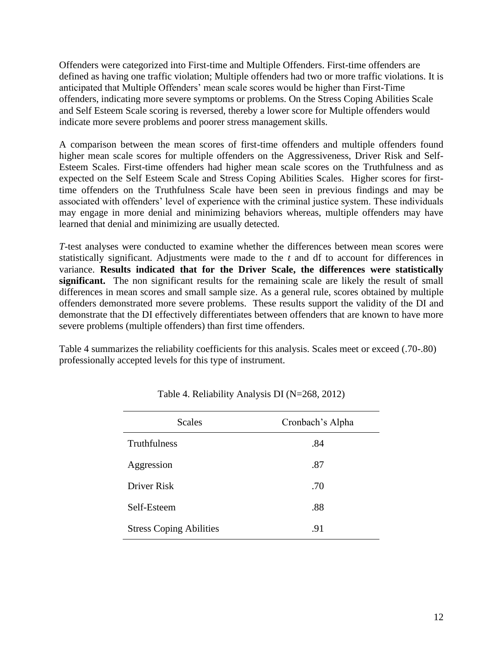Offenders were categorized into First-time and Multiple Offenders. First-time offenders are defined as having one traffic violation; Multiple offenders had two or more traffic violations. It is anticipated that Multiple Offenders' mean scale scores would be higher than First-Time offenders, indicating more severe symptoms or problems. On the Stress Coping Abilities Scale and Self Esteem Scale scoring is reversed, thereby a lower score for Multiple offenders would indicate more severe problems and poorer stress management skills.

A comparison between the mean scores of first-time offenders and multiple offenders found higher mean scale scores for multiple offenders on the Aggressiveness, Driver Risk and Self-Esteem Scales. First-time offenders had higher mean scale scores on the Truthfulness and as expected on the Self Esteem Scale and Stress Coping Abilities Scales. Higher scores for firsttime offenders on the Truthfulness Scale have been seen in previous findings and may be associated with offenders' level of experience with the criminal justice system. These individuals may engage in more denial and minimizing behaviors whereas, multiple offenders may have learned that denial and minimizing are usually detected.

*T*-test analyses were conducted to examine whether the differences between mean scores were statistically significant. Adjustments were made to the *t* and df to account for differences in variance. **Results indicated that for the Driver Scale, the differences were statistically significant.** The non significant results for the remaining scale are likely the result of small differences in mean scores and small sample size. As a general rule, scores obtained by multiple offenders demonstrated more severe problems. These results support the validity of the DI and demonstrate that the DI effectively differentiates between offenders that are known to have more severe problems (multiple offenders) than first time offenders.

Table 4 summarizes the reliability coefficients for this analysis. Scales meet or exceed (.70-.80) professionally accepted levels for this type of instrument.

| <b>Scales</b>                  | Cronbach's Alpha |
|--------------------------------|------------------|
| Truthfulness                   | .84              |
| Aggression                     | .87              |
| Driver Risk                    | .70              |
| Self-Esteem                    | .88              |
| <b>Stress Coping Abilities</b> | .91              |

Table 4. Reliability Analysis DI (N=268, 2012)